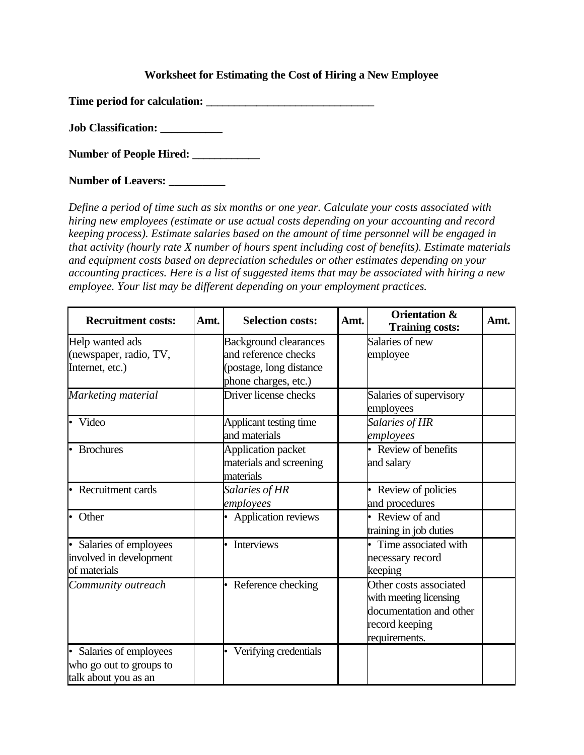## **Worksheet for Estimating the Cost of Hiring a New Employee**

**Time period for calculation: \_\_\_\_\_\_\_\_\_\_\_\_\_\_\_\_\_\_\_\_\_\_\_\_\_\_\_\_\_\_**

**Job Classification: \_\_\_\_\_\_\_\_\_\_\_**

**Number of People Hired: \_\_\_\_\_\_\_\_\_\_\_\_**

**Number of Leavers: \_\_\_\_\_\_\_\_\_\_**

*Define a period of time such as six months or one year. Calculate your costs associated with hiring new employees (estimate or use actual costs depending on your accounting and record keeping process). Estimate salaries based on the amount of time personnel will be engaged in that activity (hourly rate X number of hours spent including cost of benefits). Estimate materials and equipment costs based on depreciation schedules or other estimates depending on your accounting practices. Here is a list of suggested items that may be associated with hiring a new employee. Your list may be different depending on your employment practices.* 

| <b>Recruitment costs:</b>                                                | Amt. | <b>Selection costs:</b>                                                                                 | Amt. | <b>Orientation &amp;</b><br><b>Training costs:</b>                                                             | Amt. |
|--------------------------------------------------------------------------|------|---------------------------------------------------------------------------------------------------------|------|----------------------------------------------------------------------------------------------------------------|------|
| Help wanted ads<br>(newspaper, radio, TV,<br>Internet, etc.)             |      | <b>Background clearances</b><br>and reference checks<br>(postage, long distance<br>phone charges, etc.) |      | Salaries of new<br>employee                                                                                    |      |
| Marketing material                                                       |      | Driver license checks                                                                                   |      | Salaries of supervisory<br>employees                                                                           |      |
| • Video                                                                  |      | Applicant testing time<br>and materials                                                                 |      | Salaries of HR<br>employees                                                                                    |      |
| <b>Brochures</b>                                                         |      | Application packet<br>materials and screening<br>materials                                              |      | • Review of benefits<br>and salary                                                                             |      |
| Recruitment cards                                                        |      | Salaries of HR<br>employees                                                                             |      | Review of policies<br>and procedures                                                                           |      |
| • Other                                                                  |      | Application reviews                                                                                     |      | • Review of and<br>training in job duties                                                                      |      |
| Salaries of employees<br>involved in development<br>of materials         |      | Interviews                                                                                              |      | Time associated with<br>necessary record<br>keeping                                                            |      |
| Community outreach                                                       |      | Reference checking                                                                                      |      | Other costs associated<br>with meeting licensing<br>documentation and other<br>record keeping<br>requirements. |      |
| Salaries of employees<br>who go out to groups to<br>talk about you as an |      | Verifying credentials                                                                                   |      |                                                                                                                |      |